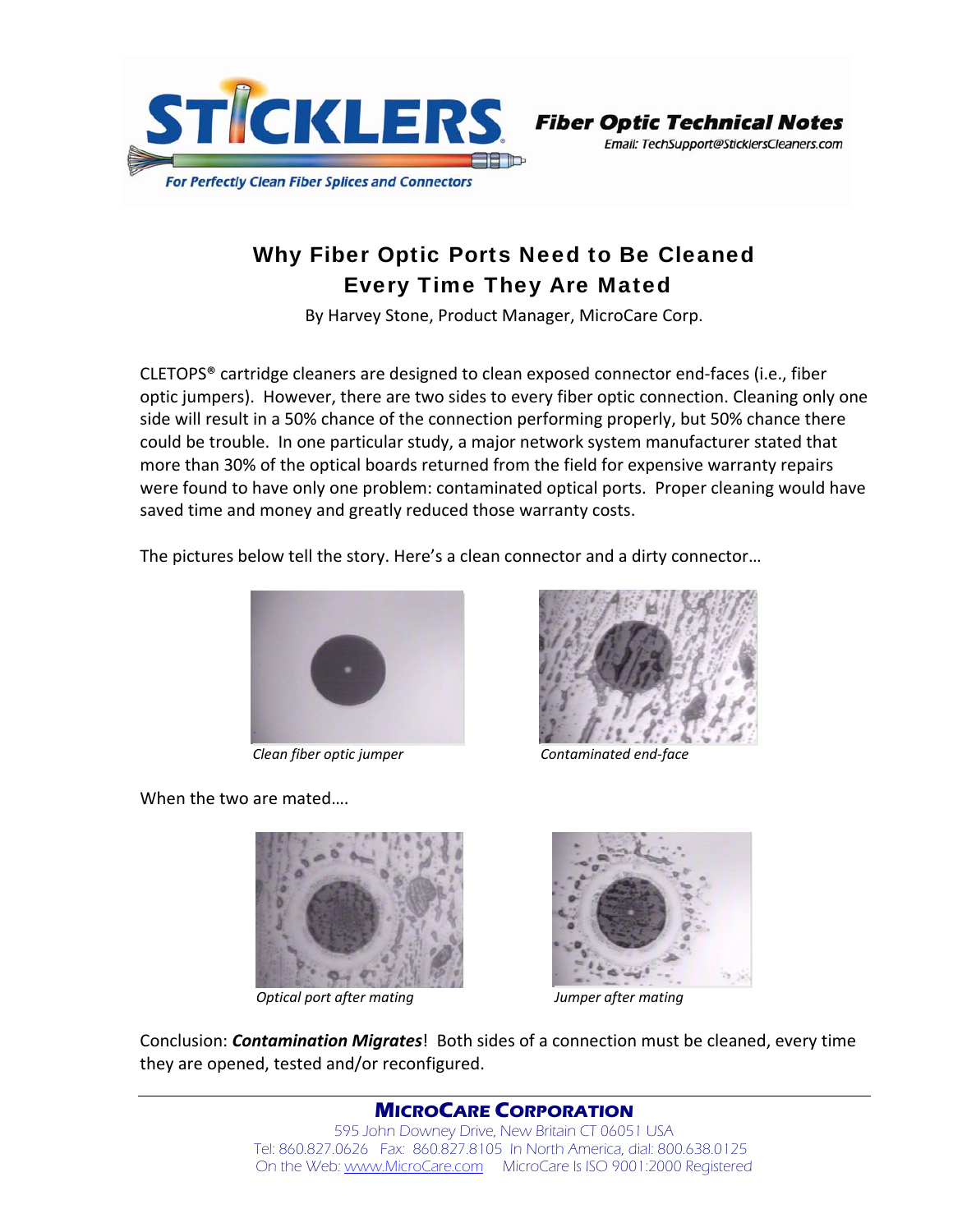

Email: TechSupport@SticklersCleaners.com

## Why Fiber Optic Ports Need to Be Cleaned Every Time They Are Mated

By Harvey Stone, Product Manager, MicroCare Corp.

CLETOPS® cartridge cleaners are designed to clean exposed connector end‐faces (i.e., fiber optic jumpers). However, there are two sides to every fiber optic connection. Cleaning only one side will result in a 50% chance of the connection performing properly, but 50% chance there could be trouble. In one particular study, a major network system manufacturer stated that more than 30% of the optical boards returned from the field for expensive warranty repairs were found to have only one problem: contaminated optical ports. Proper cleaning would have saved time and money and greatly reduced those warranty costs.

The pictures below tell the story. Here's a clean connector and a dirty connector…



 *Clean fiber optic jumper Contaminated end‐face*

When the two are mated….





 *Optical port after mating Jumper after mating*



Conclusion: *Contamination Migrates*! Both sides of a connection must be cleaned, every time they are opened, tested and/or reconfigured.

> **MICROCARE CORPORATION** 595 John Downey Drive, New Britain CT 06051 USA Tel: 860.827.0626 Fax: 860.827.8105 In North America, dial: 800.638.0125 On the Web: www.MicroCare.com MicroCare Is ISO 9001:2000 Registered